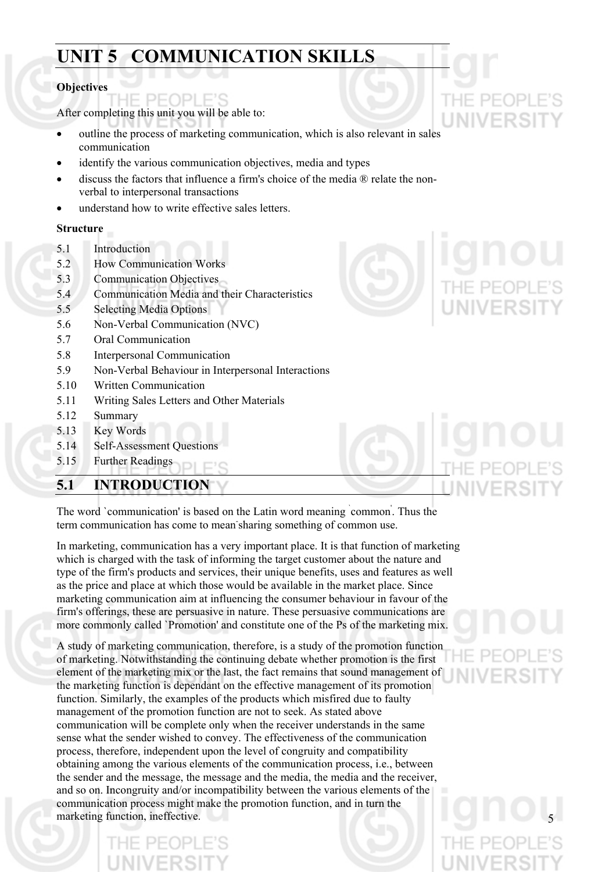# **UNIT 5 COMMUNICATION SKILLS**

#### **Objectives**

After completing this unit you will be able to:

- outline the process of marketing communication, which is also relevant in sales communication •
- identify the various communication objectives, media and types
- discuss the factors that influence a firm's choice of the media ® relate the nonverbal to interpersonal transactions
- understand how to write effective sales letters.

#### **Structure**

- 5.1 Introduction
- 5.2 How Communication Works
- 5.3 Communication Objectives
- 5.4 Communication Media and their Characteristics
- 5.5 Selecting Media Options
- 5.6 Non-Verbal Communication (NVC)
- 5.7 Oral Communication
- 5.8 Interpersonal Communication
- 5.9 Non-Verbal Behaviour in Interpersonal Interactions
- 5.10 Written Communication
- 5.11 Writing Sales Letters and Other Materials
- 5.12 Summary
- 5.13 Key Words
- 5.14 Self-Assessment Questions
- 5.15 Further Readings

### **5.1 INTRODUCTION**



The word `communication' is based on the Latin word meaning common. Thus the term communication has come to mean-sharing something of common use.

In marketing, communication has a very important place. It is that function of marketing which is charged with the task of informing the target customer about the nature and type of the firm's products and services, their unique benefits, uses and features as well as the price and place at which those would be available in the market place. Since marketing communication aim at influencing the consumer behaviour in favour of the firm's offerings, these are persuasive in nature. These persuasive communications are more commonly called `Promotion' and constitute one of the Ps of the marketing mix.

A study of marketing communication, therefore, is a study of the promotion function of marketing. Notwithstanding the continuing debate whether promotion is the first element of the marketing mix or the last, the fact remains that sound management of the marketing function is dependant on the effective management of its promotion function. Similarly, the examples of the products which misfired due to faulty management of the promotion function are not to seek. As stated above communication will be complete only when the receiver understands in the same sense what the sender wished to convey. The effectiveness of the communication process, therefore, independent upon the level of congruity and compatibility obtaining among the various elements of the communication process, i.e., between the sender and the message, the message and the media, the media and the receiver, and so on. Incongruity and/or incompatibility between the various elements of the communication process might make the promotion function, and in turn the marketing function, ineffective. 5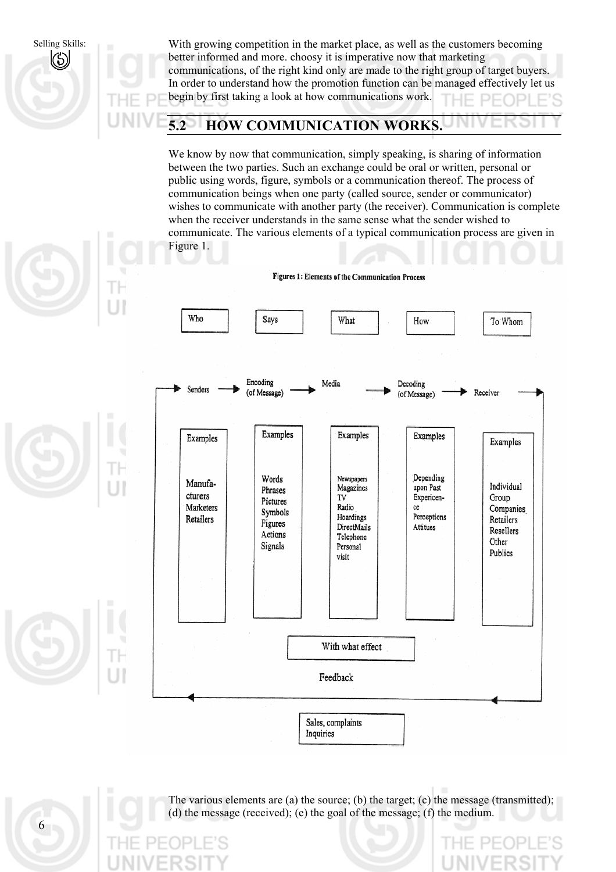Selling Skills: With growing competition in the market place, as well as the customers becoming better informed and more. choosy it is imperative now that marketing  $\left(\mathrm{S}\right)$ communications, of the right kind only are made to the right group of target buyers. In order to understand how the promotion function can be managed effectively let us begin by first taking a look at how communications work. **5.2 HOW COMMUNICATION WORKS.**  We know by now that communication, simply speaking, is sharing of information between the two parties. Such an exchange could be oral or written, personal or public using words, figure, symbols or a communication thereof. The process of communication beings when one party (called source, sender or communicator) wishes to communicate with another party (the receiver). Communication is complete when the receiver understands in the same sense what the sender wished to communicate. The various elements of a typical communication process are given in Figure 1. Figures 1: Elements of the Communication Process Who Says What How To Whom Encoding Media Decoding Senders (of Message) Receiver (of Message)

Examples Examples Examples Examples Examples Depending Words Newspapers Manufa-Individual Magazines upon Past Phrases cturers TV Expericen-Group Pictures Marketers Radio ce Companies Symbols Hoardings Perceptions Retailers Retailers Figures DirectMails Attitues Resellers Actions Telephone Other Signals Personal Publics visit With what effect Feedback Sales, complaints Inquiries

6

The various elements are (a) the source; (b) the target; (c) the message (transmitted); (d) the message (received); (e) the goal of the message; (f) the medium.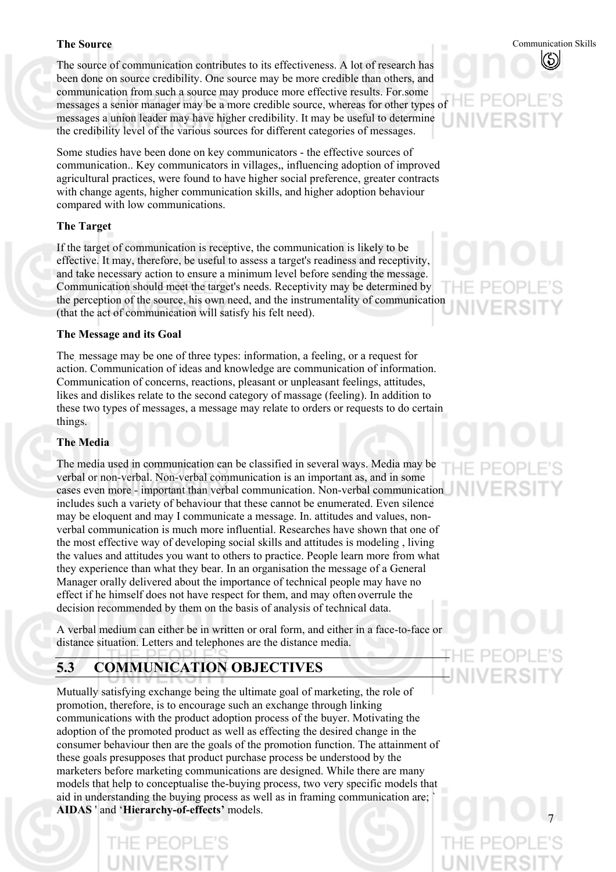#### **The Source**

The source of communication contributes to its effectiveness. A lot of research has been done on source credibility. One source may be more credible than others, and communication from such a source may produce more effective results. For.some messages a senior manager may be a more credible source, whereas for other types of messages a union leader may have higher credibility. It may be useful to determine the credibility level of the various sources for different categories of messages.

Some studies have been done on key communicators - the effective sources of communication.. Key communicators in villages,, influencing adoption of improved agricultural practices, were found to have higher social preference, greater contracts with change agents, higher communication skills, and higher adoption behaviour compared with low communications.

#### **The Target**

If the target of communication is receptive, the communication is likely to be effective. It may, therefore, be useful to assess a target's readiness and receptivity, and take necessary action to ensure a minimum level before sending the message. Communication should meet the target's needs. Receptivity may be determined by the perception of the source, his own need, and the instrumentality of communication (that the act of communication will satisfy his felt need).

#### **The Message and its Goal**

The. message may be one of three types: information, a feeling, or a request for action. Communication of ideas and knowledge are communication of information. Communication of concerns, reactions, pleasant or unpleasant feelings, attitudes, likes and dislikes relate to the second category of massage (feeling). In addition to these two types of messages, a message may relate to orders or requests to do certain things.

#### **The Media**

The media used in communication can be classified in several ways. Media may be verbal or non-verbal. Non-verbal communication is an important as, and in some cases even more - important than verbal communication. Non-verbal communication includes such a variety of behaviour that these cannot be enumerated. Even silence may be eloquent and may I communicate a message. In. attitudes and values, nonverbal communication is much more influential. Researches have shown that one of the most effective way of developing social skills and attitudes is modeling , living the values and attitudes you want to others to practice. People learn more from what they experience than what they bear. In an organisation the message of a General Manager orally delivered about the importance of technical people may have no effect if he himself does not have respect for them, and may often overrule the decision recommended by them on the basis of analysis of technical data.

A verbal medium can either be in written or oral form, and either in a face-to-face or distance situation. Letters and telephones are the distance media.

### **5.3 COMMUNICATION OBJECTIVES**

Mutually satisfying exchange being the ultimate goal of marketing, the role of promotion, therefore, is to encourage such an exchange through linking communications with the product adoption process of the buyer. Motivating the adoption of the promoted product as well as effecting the desired change in the consumer behaviour then are the goals of the promotion function. The attainment of these goals presupposes that product purchase process be understood by the marketers before marketing communications are designed. While there are many models that help to conceptualise the-buying process, two very specific models that aid in understanding the buying process as well as in framing communication are; ` **AIDAS** ' and '**Hierarchy-of-effects'** models.



#### Communication Skills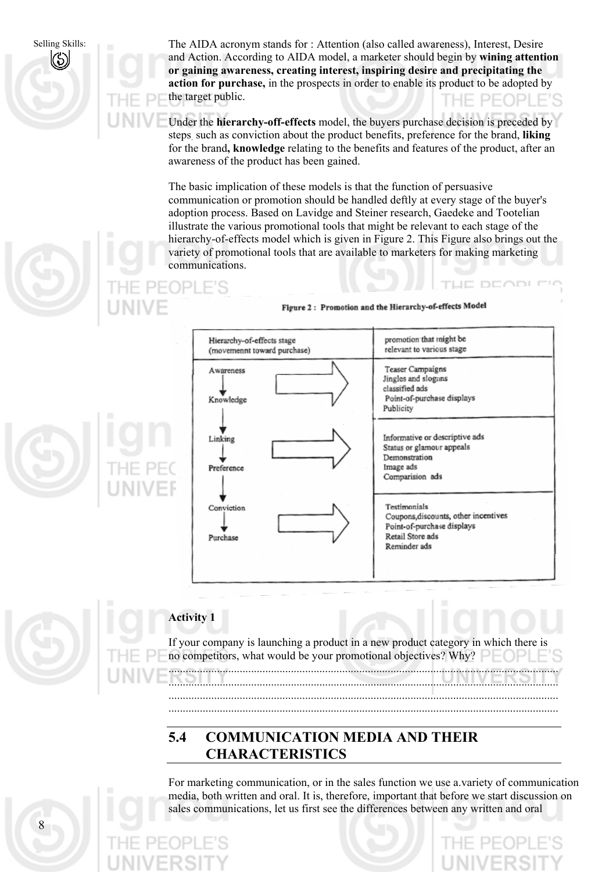Selling Skills:



The AIDA acronym stands for : Attention (also called awareness), Interest, Desire and Action. According to AIDA model, a marketer should begin by **wining attention or gaining awareness, creating interest, inspiring desire and precipitating the action for purchase,** in the prospects in order to enable its product to be adopted by the target public.

Under the **hierarchy-off-effects** model, the buyers purchase decision is preceded by steps. such as conviction about the product benefits, preference for the brand, **liking**  for the brand**, knowledge** relating to the benefits and features of the product, after an awareness of the product has been gained.

The basic implication of these models is that the function of persuasive communication or promotion should be handled deftly at every stage of the buyer's adoption process. Based on Lavidge and Steiner research, Gaedeke and Tootelian illustrate the various promotional tools that might be relevant to each stage of the hierarchy-of-effects model which is given in Figure 2. This Figure also brings out the variety of promotional tools that are available to marketers for making marketing communications.

Figure 2: Promotion and the Hierarchy-of-effects Model

| Hierarchy-of-effects stage<br>(movemennt toward purchase) | promotion that might be<br>relevant to various stage                                                                   |
|-----------------------------------------------------------|------------------------------------------------------------------------------------------------------------------------|
| Awareness<br>Knowledge                                    | Teaser Campaigns<br>Jingles and slogans<br>classified ads<br>Point-of-purchase displays<br>Publicity                   |
| Linking<br>Preference                                     | Informative or descriptive ads<br>Status or glamour appeals<br>Demonstration<br>Image ads<br>Comparision ads           |
| Conviction<br>Purchase                                    | Testimonials<br>Coupons, discounts, other incentives<br>Point-of-purchase displays<br>Retail Store ads<br>Reminder ads |



### **Activity 1**

If your company is launching a product in a new product category in which there is no competitors, what would be your promotional objectives? Why? .........................................................................................................................................

......................................................................................................................................... ......................................................................................................................................... .........................................................................................................................................

#### **5.4 COMMUNICATION MEDIA AND THEIR CHARACTERISTICS**

For marketing communication, or in the sales function we use a.variety of communication media, both written and oral. It is, therefore, important that before we start discussion on sales communications, let us first see the differences between any written and oral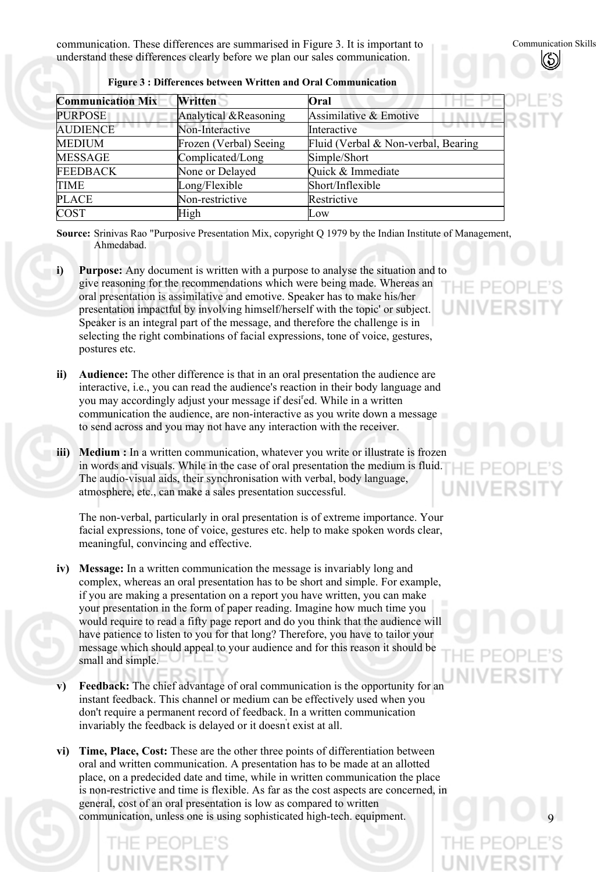communication. These differences are summarised in Figure 3. It is important to understand these differences clearly before we plan our sales communication.

| <b>Communication Mix</b> | Written                | Oral                                |
|--------------------------|------------------------|-------------------------------------|
| <b>PURPOSE</b>           | Analytical & Reasoning | Assimilative & Emotive              |
| <b>AUDIENCE</b>          | Non-Interactive        | Interactive                         |
| <b>MEDIUM</b>            | Frozen (Verbal) Seeing | Fluid (Verbal & Non-verbal, Bearing |
| MESSAGE                  | Complicated/Long       | Simple/Short                        |
| FEEDBACK                 | None or Delayed        | Quick & Immediate                   |
| TIME                     | Long/Flexible          | Short/Inflexible                    |
| <b>PLACE</b>             | Non-restrictive        | Restrictive                         |
| <b>COST</b>              | High                   | Low                                 |

**Figure 3 : Differences between Written and Oral Communication** 

**Source:** Srinivas Rao "Purposive Presentation Mix, copyright Q 1979 by the Indian Institute of Management, Ahmedabad.

- **i) Purpose:** Any document is written with a purpose to analyse the situation and to give reasoning for the recommendations which were being made. Whereas an oral presentation is assimilative and emotive. Speaker has to make his/her presentation impactful by involving himself/herself with the topic' or subject. Speaker is an integral part of the message, and therefore the challenge is in selecting the right combinations of facial expressions, tone of voice, gestures, postures etc.
- **ii) Audience:** The other difference is that in an oral presentation the audience are interactive, i.e., you can read the audience's reaction in their body language and you may accordingly adjust your message if desi<sup>r</sup>ed. While in a written communication the audience, are non-interactive as you write down a message to send across and you may not have any interaction with the receiver.
- **iii) Medium :** In a written communication, whatever you write or illustrate is frozen in words and visuals. While in the case of oral presentation the medium is fluid. The audio-visual aids, their synchronisation with verbal, body language, atmosphere, etc., can make a sales presentation successful.

The non-verbal, particularly in oral presentation is of extreme importance. Your facial expressions, tone of voice, gestures etc. help to make spoken words clear, meaningful, convincing and effective.

- **iv) Message:** In a written communication the message is invariably long and complex, whereas an oral presentation has to be short and simple. For example, if you are making a presentation on a report you have written, you can make your presentation in the form of paper reading. Imagine how much time you would require to read a fifty page report and do you think that the audience will have patience to listen to you for that long? Therefore, you have to tailor your message which should appeal to your audience and for this reason it should be small and simple.
- **v) Feedback:** The chief advantage of oral communication is the opportunity for an instant feedback. This channel or medium can be effectively used when you don't require a permanent record of feedback. In a written communication invariably the feedback is delayed or it doesn't exist at all.
- **vi) Time, Place, Cost:** These are the other three points of differentiation between oral and written communication. A presentation has to be made at an allotted place, on a predecided date and time, while in written communication the place is non-restrictive and time is flexible. As far as the cost aspects are concerned, in general, cost of an oral presentation is low as compared to written communication, unless one is using sophisticated high-tech. equipment.

 $\vdash$  PF(

9

#### Communication Skills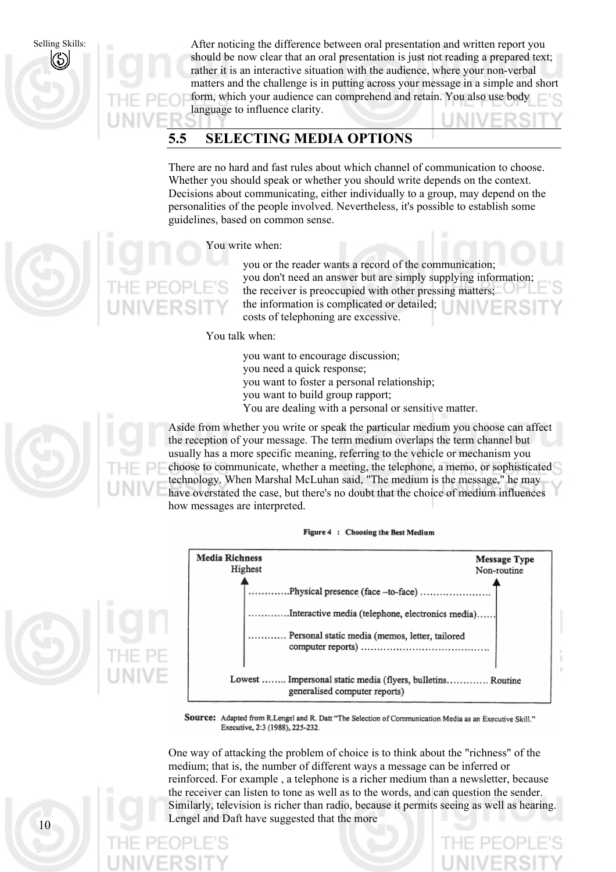Selling Skills:

After noticing the difference between oral presentation and written report you should be now clear that an oral presentation is just not reading a prepared text; rather it is an interactive situation with the audience, where your non-verbal matters and the challenge is in putting across your message in a simple and short form, which your audience can comprehend and retain. You also use body language to influence clarity.

### **5.5 SELECTING MEDIA OPTIONS**

There are no hard and fast rules about which channel of communication to choose. Whether you should speak or whether you should write depends on the context. Decisions about communicating, either individually to a group, may depend on the personalities of the people involved. Nevertheless, it's possible to establish some guidelines, based on common sense.

#### You write when:

you or the reader wants a record of the communication; you don't need an answer but are simply supplying information; the receiver is preoccupied with other pressing matters; the information is complicated or detailed; costs of telephoning are excessive.

#### You talk when:

you want to encourage discussion; you need a quick response; you want to foster a personal relationship; you want to build group rapport; You are dealing with a personal or sensitive matter.

Aside from whether you write or speak the particular medium you choose can affect the reception of your message. The term medium overlaps the term channel but usually has a more specific meaning, referring to the vehicle or mechanism you choose to communicate, whether a meeting, the telephone, a memo, or sophisticated technology. When Marshal McLuhan said, "The medium is the message," he may have overstated the case, but there's no doubt that the choice of medium influences how messages are interpreted.





Source: Adapted from R.Lengel and R. Datt "The Selection of Communication Media as an Executive Skill." Executive, 2:3 (1988), 225-232.

One way of attacking the problem of choice is to think about the "richness" of the medium; that is, the number of different ways a message can be inferred or reinforced. For example , a telephone is a richer medium than a newsletter, because the receiver can listen to tone as well as to the words, and can question the sender. Similarly, television is richer than radio, because it permits seeing as well as hearing. Lengel and Daft have suggested that the more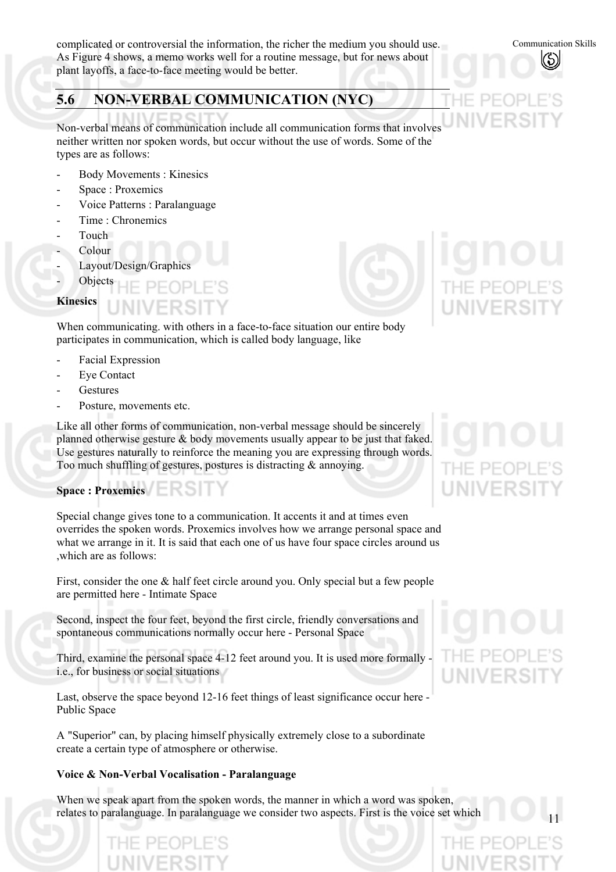complicated or controversial the information, the richer the medium you should use. As Figure 4 shows, a memo works well for a routine message, but for news about plant layoffs, a face-to-face meeting would be better.

#### **5.6 NON-VERBAL COMMUNICATION (NYC)**

Non-verbal means of communication include all communication forms that involves neither written nor spoken words, but occur without the use of words. Some of the types are as follows:

- Body Movements : Kinesics
- Space : Proxemics
- Voice Patterns : Paralanguage
- Time : Chronemics
- Touch
- Colour<sub>.</sub>
- Layout/Design/Graphics
- **Objects**

#### **Kinesics**

When communicating. with others in a face-to-face situation our entire body participates in communication, which is called body language, like

- Facial Expression
- Eye Contact
- **Gestures**
- Posture, movements etc.

Like all other forms of communication, non-verbal message should be sincerely planned otherwise gesture & body movements usually appear to be just that faked. Use gestures naturally to reinforce the meaning you are expressing through words. Too much shuffling of gestures, postures is distracting & annoying.

### **Space : Proxemics**

Special change gives tone to a communication. It accents it and at times even overrides the spoken words. Proxemics involves how we arrange personal space and what we arrange in it. It is said that each one of us have four space circles around us ,which are as follows:

First, consider the one & half feet circle around you. Only special but a few people are permitted here - Intimate Space

Second, inspect the four feet, beyond the first circle, friendly conversations and spontaneous communications normally occur here - Personal Space

Third, examine the personal space 4-12 feet around you. It is used more formally i.e., for business or social situations

Last, observe the space beyond 12-16 feet things of least significance occur here - Public Space

A "Superior" can, by placing himself physically extremely close to a subordinate create a certain type of atmosphere or otherwise.

#### **Voice & Non-Verbal Vocalisation - Paralanguage**

When we speak apart from the spoken words, the manner in which a word was spoken, relates to paralanguage. In paralanguage we consider two aspects. First is the voice set which

Communication Skills

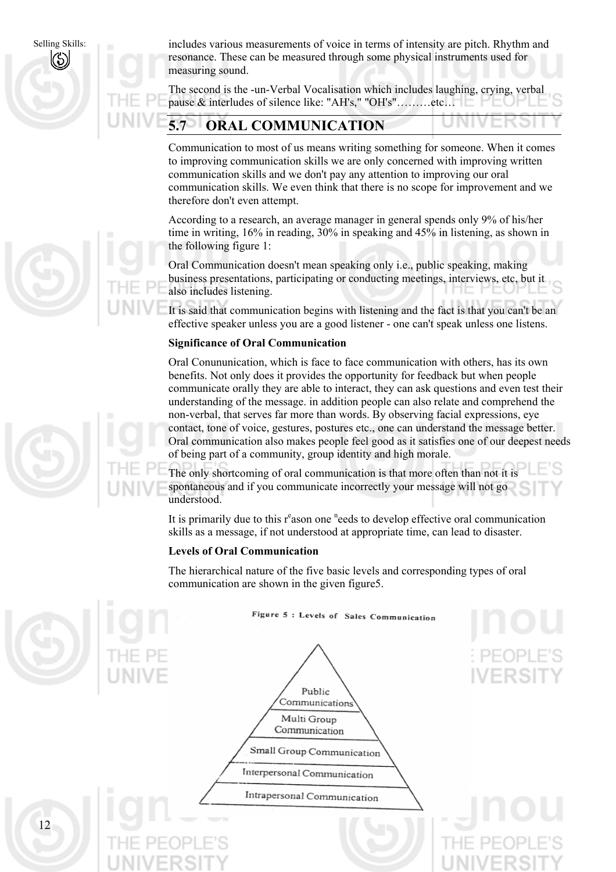Selling Skills:



includes various measurements of voice in terms of intensity are pitch. Rhythm and resonance. These can be measured through some physical instruments used for measuring sound.

The second is the -un-Verbal Vocalisation which includes laughing, crying, verbal pause & interludes of silence like: "AH's," "OH's"………etc…

### **5.7 ORAL COMMUNICATION**

Communication to most of us means writing something for someone. When it comes to improving communication skills we are only concerned with improving written communication skills and we don't pay any attention to improving our oral communication skills. We even think that there is no scope for improvement and we therefore don't even attempt.

According to a research, an average manager in general spends only 9% of his/her time in writing, 16% in reading, 30% in speaking and 45% in listening, as shown in the following figure 1:

Oral Communication doesn't mean speaking only i.e., public speaking, making business presentations, participating or conducting meetings, interviews, etc, but it also includes listening.

It is said that communication begins with listening and the fact is that you can't be an effective speaker unless you are a good listener - one can't speak unless one listens.

#### **Significance of Oral Communication**

Oral Conununication, which is face to face communication with others, has its own benefits. Not only does it provides the opportunity for feedback but when people communicate orally they are able to interact, they can ask questions and even test their understanding of the message. in addition people can also relate and comprehend the non-verbal, that serves far more than words. By observing facial expressions, eye contact, tone of voice, gestures, postures etc., one can understand the message better. Oral communication also makes people feel good as it satisfies one of our deepest needs of being part of a community, group identity and high morale.

The only shortcoming of oral communication is that more often than not it is spontaneous and if you communicate incorrectly your message will not go understood.

It is primarily due to this r<sup>e</sup>ason one <sup>n</sup>eeds to develop effective oral communication skills as a message, if not understood at appropriate time, can lead to disaster.

#### **Levels of Oral Communication**

The hierarchical nature of the five basic levels and corresponding types of oral communication are shown in the given figure5.



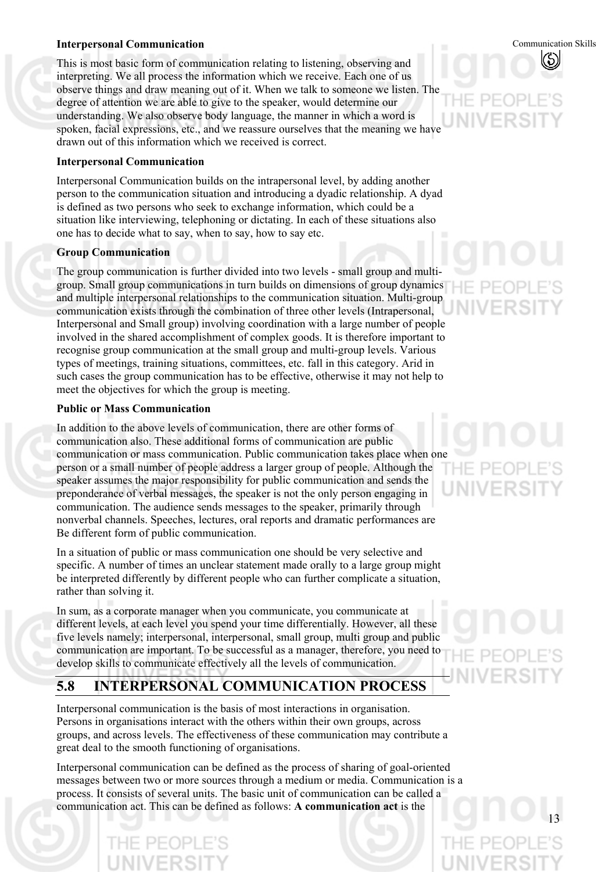#### **Interpersonal Communication**

This is most basic form of communication relating to listening, observing and interpreting. We all process the information which we receive. Each one of us observe things and draw meaning out of it. When we talk to someone we listen. The degree of attention we are able to give to the speaker, would determine our understanding. We also observe body language, the manner in which a word is spoken, facial expressions, etc., and we reassure ourselves that the meaning we have drawn out of this information which we received is correct.

#### **Interpersonal Communication**

Interpersonal Communication builds on the intrapersonal level, by adding another person to the communication situation and introducing a dyadic relationship. A dyad is defined as two persons who seek to exchange information, which could be a situation like interviewing, telephoning or dictating. In each of these situations also one has to decide what to say, when to say, how to say etc.

#### **Group Communication**

The group communication is further divided into two levels - small group and multigroup. Small group communications in turn builds on dimensions of group dynamics and multiple interpersonal relationships to the communication situation. Multi-group communication exists through the combination of three other levels (Intrapersonal, Interpersonal and Small group) involving coordination with a large number of people involved in the shared accomplishment of complex goods. It is therefore important to recognise group communication at the small group and multi-group levels. Various types of meetings, training situations, committees, etc. fall in this category. Arid in such cases the group communication has to be effective, otherwise it may not help to meet the objectives for which the group is meeting.

#### **Public or Mass Communication**

In addition to the above levels of communication, there are other forms of communication also. These additional forms of communication are public communication or mass communication. Public communication takes place when one person or a small number of people address a larger group of people. Although the speaker assumes the major responsibility for public communication and sends the preponderance of verbal messages, the speaker is not the only person engaging in communication. The audience sends messages to the speaker, primarily through nonverbal channels. Speeches, lectures, oral reports and dramatic performances are Be different form of public communication.

In a situation of public or mass communication one should be very selective and specific. A number of times an unclear statement made orally to a large group might be interpreted differently by different people who can further complicate a situation, rather than solving it.

In sum, as a corporate manager when you communicate, you communicate at different levels, at each level you spend your time differentially. However, all these five levels namely; interpersonal, interpersonal, small group, multi group and public communication are important. To be successful as a manager, therefore, you need to develop skills to communicate effectively all the levels of communication.

## **5.8 INTERPERSONAL COMMUNICATION PROCESS**

Interpersonal communication is the basis of most interactions in organisation. Persons in organisations interact with the others within their own groups, across groups, and across levels. The effectiveness of these communication may contribute a great deal to the smooth functioning of organisations.

Interpersonal communication can be defined as the process of sharing of goal-oriented messages between two or more sources through a medium or media. Communication is a process. It consists of several units. The basic unit of communication can be called a communication act. This can be defined as follows: **A communication act** is the

Communication Skills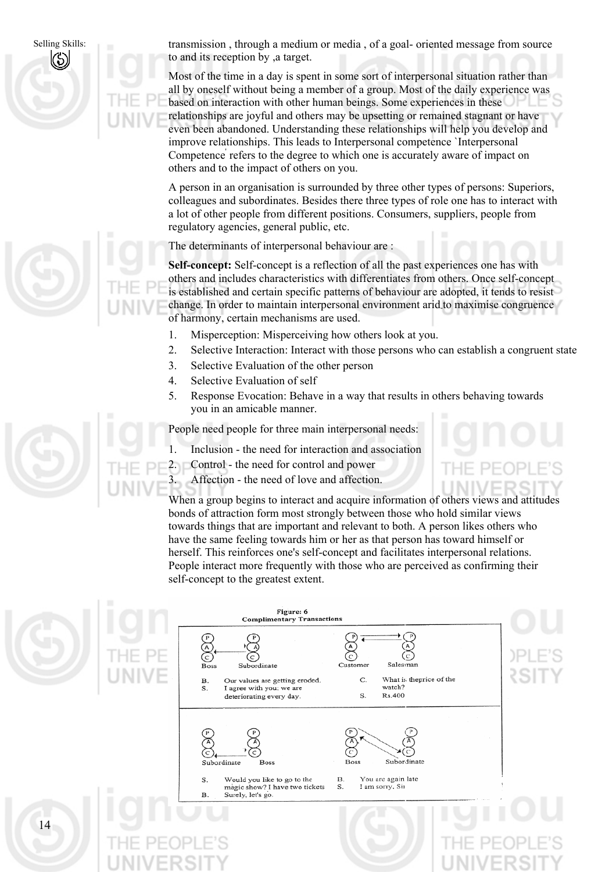

transmission , through a medium or media , of a goal- oriented message from source to and its reception by ,a target.

Most of the time in a day is spent in some sort of interpersonal situation rather than all by oneself without being a member of a group. Most of the daily experience was based on interaction with other human beings. Some experiences in these relationships are joyful and others may be upsetting or remained stagnant or have even been abandoned. Understanding these relationships will help you develop and improve relationships. This leads to Interpersonal competence `Interpersonal Competence refers to the degree to which one is accurately aware of impact on others and to the impact of others on you.

A person in an organisation is surrounded by three other types of persons: Superiors, colleagues and subordinates. Besides there three types of role one has to interact with a lot of other people from different positions. Consumers, suppliers, people from regulatory agencies, general public, etc.

The determinants of interpersonal behaviour are :

**Self-concept:** Self-concept is a reflection of all the past experiences one has with others and includes characteristics with differentiates from others. Once self-concept is established and certain specific patterns of behaviour are adopted, it tends to resist change. In order to maintain interpersonal environment arid-to maximise congruence of harmony, certain mechanisms are used.

- 1. Misperception: Misperceiving how others look at you.
- 2. Selective Interaction: Interact with those persons who can establish a congruent state
- 3. Selective Evaluation of the other person
- 4. Selective Evaluation of self
- 5. Response Evocation: Behave in a way that results in others behaving towards you in an amicable manner.

People need people for three main interpersonal needs:

- 1. Inclusion the need for interaction and association
- 2. Control the need for control and power
- 3. Affection the need of love and affection.



When a group begins to interact and acquire information of others views and attitudes bonds of attraction form most strongly between those who hold similar views towards things that are important and relevant to both. A person likes others who have the same feeling towards him or her as that person has toward himself or herself. This reinforces one's self-concept and facilitates interpersonal relations. People interact more frequently with those who are perceived as confirming their self-concept to the greatest extent.

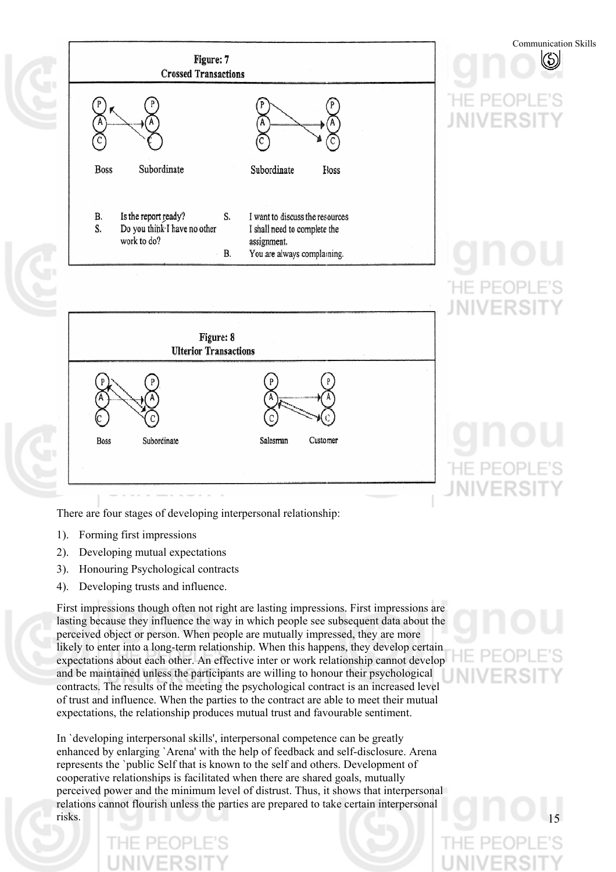

There are four stages of developing interpersonal relationship:

- 1). Forming first impressions
- 2). Developing mutual expectations
- 3). Honouring Psychological contracts
- 4). Developing trusts and influence.

First impressions though often not right are lasting impressions. First impressions are lasting because they influence the way in which people see subsequent data about the perceived object or person. When people are mutually impressed, they are more likely to enter into a long-term relationship. When this happens, they develop certain expectations about each other. An effective inter or work relationship cannot develop and be maintained unless the participants are willing to honour their psychological contracts. The results of the meeting the psychological contract is an increased level of trust and influence. When the parties to the contract are able to meet their mutual expectations, the relationship produces mutual trust and favourable sentiment.

In `developing interpersonal skills', interpersonal competence can be greatly enhanced by enlarging `Arena' with the help of feedback and self-disclosure. Arena represents the `public Self that is known to the self and others. Development of cooperative relationships is facilitated when there are shared goals, mutually perceived power and the minimum level of distrust. Thus, it shows that interpersonal relations cannot flourish unless the parties are prepared to take certain interpersonal risks.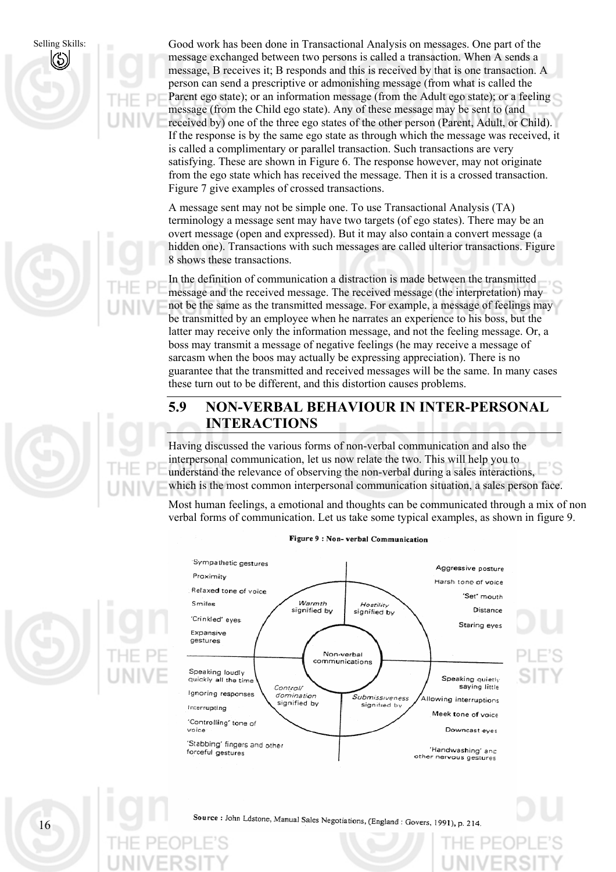







A message sent may not be simple one. To use Transactional Analysis (TA) terminology a message sent may have two targets (of ego states). There may be an overt message (open and expressed). But it may also contain a convert message (a hidden one). Transactions with such messages are called ulterior transactions. Figure 8 shows these transactions.

In the definition of communication a distraction is made between the transmitted message and the received message. The received message (the interpretation) may not be the same as the transmitted message. For example, a message of feelings may be transmitted by an employee when he narrates an experience to his boss, but the latter may receive only the information message, and not the feeling message. Or, a boss may transmit a message of negative feelings (he may receive a message of sarcasm when the boos may actually be expressing appreciation). There is no guarantee that the transmitted and received messages will be the same. In many cases these turn out to be different, and this distortion causes problems.

#### **5.9 NON-VERBAL BEHAVIOUR IN INTER-PERSONAL INTERACTIONS**

Having discussed the various forms of non-verbal communication and also the interpersonal communication, let us now relate the two. This will help you to understand the relevance of observing the non-verbal during a sales interactions, which is the most common interpersonal communication situation, a sales person face.

Most human feelings, a emotional and thoughts can be communicated through a mix of non verbal forms of communication. Let us take some typical examples, as shown in figure 9.



Figure 9 : Non- verbal Communication



Source : John Ldstone, Manual Sales Negotiations, (England : Govers, 1991), p. 214.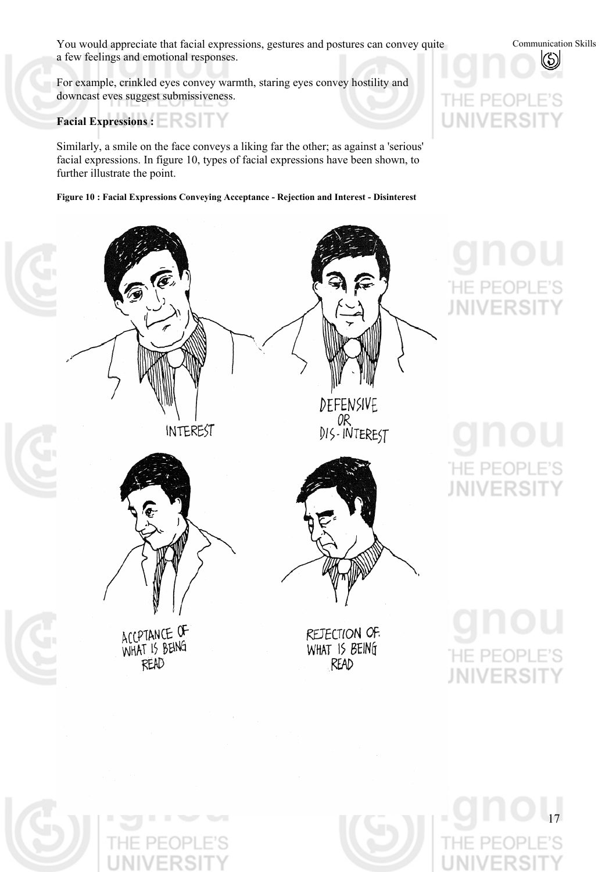You would appreciate that facial expressions, gestures and postures can convey quite a few feelings and emotional responses.

For example, crinkled eyes convey warmth, staring eyes convey hostility and downcast eves suggest submissiveness.

Facial Expressions : **EXPRESSION** 

Similarly, a smile on the face conveys a liking far the other; as against a 'serious' facial expressions. In figure 10, types of facial expressions have been shown, to further illustrate the point.

**Figure 10 : Facial Expressions Conveying Acceptance - Rejection and Interest - Disinterest** 



# FR

Communication Skills

(හි)

**JNIVERSI** 

# E PE( **IIVERS**

**HE PEC JNIVERSIT**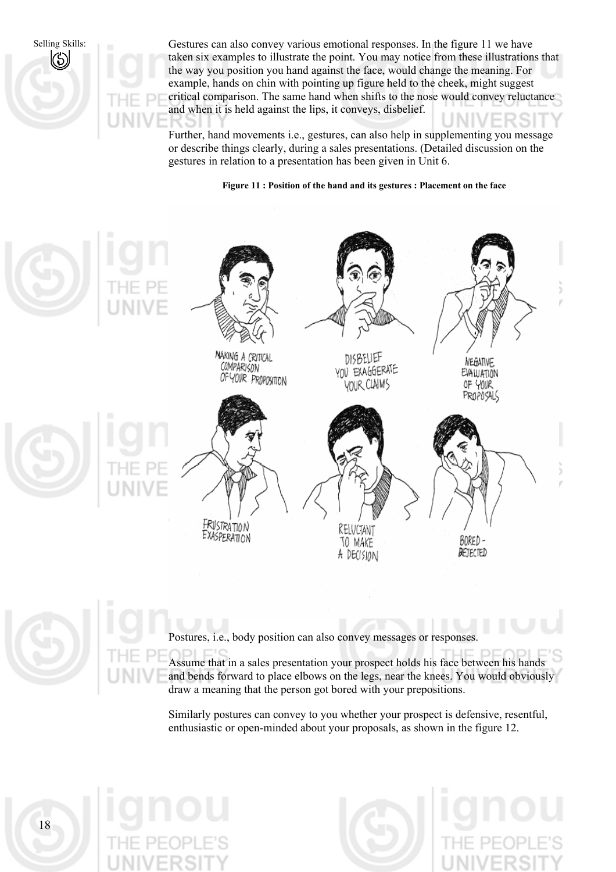

Gestures can also convey various emotional responses. In the figure 11 we have taken six examples to illustrate the point. You may notice from these illustrations that the way you position you hand against the face, would change the meaning. For example, hands on chin with pointing up figure held to the cheek, might suggest critical comparison. The same hand when shifts to the nose would convey reluctance and when it is held against the lips, it conveys, disbelief.

Further, hand movements i.e., gestures, can also help in supplementing you message or describe things clearly, during a sales presentations. (Detailed discussion on the gestures in relation to a presentation has been given in Unit 6.

**Figure 11 : Position of the hand and its gestures : Placement on the face** 



Postures, i.e., body position can also convey messages or responses.

Assume that in a sales presentation your prospect holds his face between his hands and bends forward to place elbows on the legs, near the knees. You would obviously draw a meaning that the person got bored with your prepositions.

Similarly postures can convey to you whether your prospect is defensive, resentful, enthusiastic or open-minded about your proposals, as shown in the figure 12.





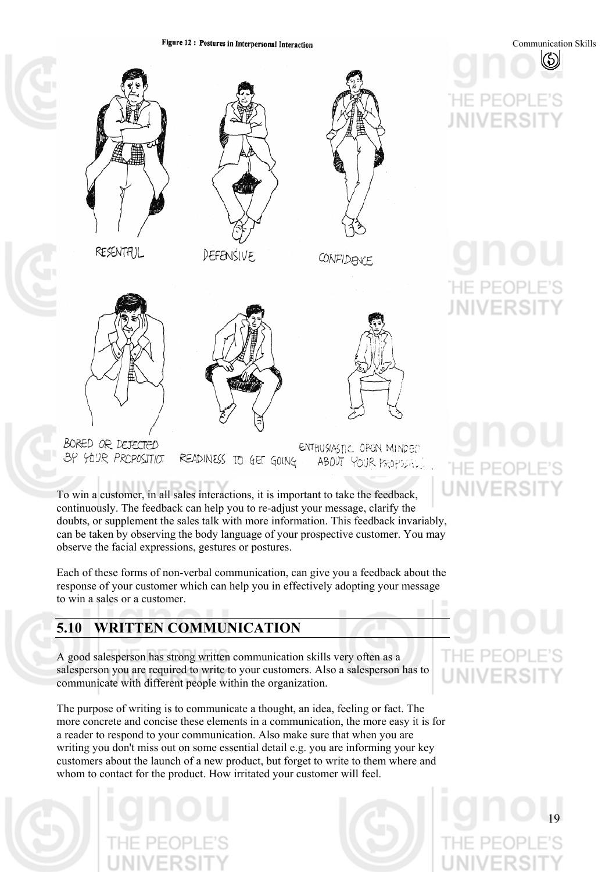Figure 12: Postures in Interpersonal Interaction



(5) **JNIVERS** 

Communication Skills

# **JNIVERS**







BORED OR DEJECTED ENTHUSIASTIC OPEN MINDED READINESS TO GET GOING BY YOUR PROPOSITIOT ABOUT YOUR PROPOSICS

To win a customer, in all sales interactions, it is important to take the feedback, continuously. The feedback can help you to re-adjust your message, clarify the doubts, or supplement the sales talk with more information. This feedback invariably, can be taken by observing the body language of your prospective customer. You may observe the facial expressions, gestures or postures.

Each of these forms of non-verbal communication, can give you a feedback about the response of your customer which can help you in effectively adopting your message to win a sales or a customer.

# **5.10 WRITTEN COMMUNICATION**

A good salesperson has strong written communication skills very often as a salesperson you are required to write to your customers. Also a salesperson has to communicate with different people within the organization.

The purpose of writing is to communicate a thought, an idea, feeling or fact. The more concrete and concise these elements in a communication, the more easy it is for a reader to respond to your communication. Also make sure that when you are writing you don't miss out on some essential detail e.g. you are informing your key customers about the launch of a new product, but forget to write to them where and whom to contact for the product. How irritated your customer will feel.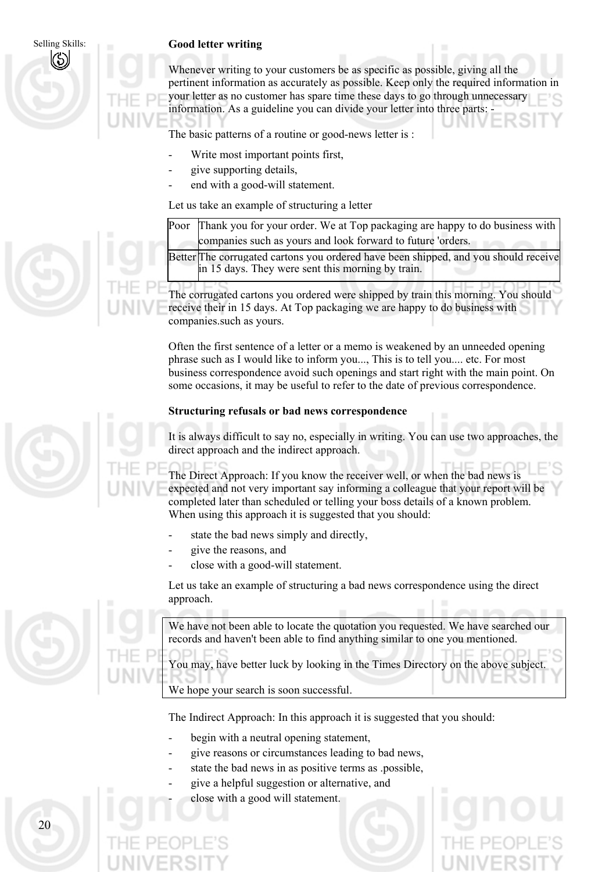#### **Good letter writing**

Selling Skills:

KS

Whenever writing to your customers be as specific as possible, giving all the pertinent information as accurately as possible. Keep only the required information in your letter as no customer has spare time these days to go through unnecessary information. As a guideline you can divide your letter into three parts: -

The basic patterns of a routine or good-news letter is :

- Write most important points first,
- give supporting details,
- end with a good-will statement.

Let us take an example of structuring a letter

Poor Thank you for your order. We at Top packaging are happy to do business with companies such as yours and look forward to future 'orders.

Better The corrugated cartons you ordered have been shipped, and you should receive in 15 days. They were sent this morning by train.

The corrugated cartons you ordered were shipped by train this morning. You should receive their in 15 days. At Top packaging we are happy to do business with companies.such as yours.

Often the first sentence of a letter or a memo is weakened by an unneeded opening phrase such as I would like to inform you..., This is to tell you.... etc. For most business correspondence avoid such openings and start right with the main point. On some occasions, it may be useful to refer to the date of previous correspondence.

#### **Structuring refusals or bad news correspondence**

It is always difficult to say no, especially in writing. You can use two approaches, the direct approach and the indirect approach.

The Direct Approach: If you know the receiver well, or when the bad news is expected and not very important say informing a colleague that your report will be completed later than scheduled or telling your boss details of a known problem. When using this approach it is suggested that you should:

- state the bad news simply and directly,
- give the reasons, and
- close with a good-will statement.

Let us take an example of structuring a bad news correspondence using the direct approach.

We have not been able to locate the quotation you requested. We have searched our records and haven't been able to find anything similar to one you mentioned.

You may, have better luck by looking in the Times Directory on the above subject.

We hope your search is soon successful.

The Indirect Approach: In this approach it is suggested that you should:

- begin with a neutral opening statement,
- give reasons or circumstances leading to bad news,
- state the bad news in as positive terms as .possible,
- give a helpful suggestion or alternative, and
- close with a good will statement.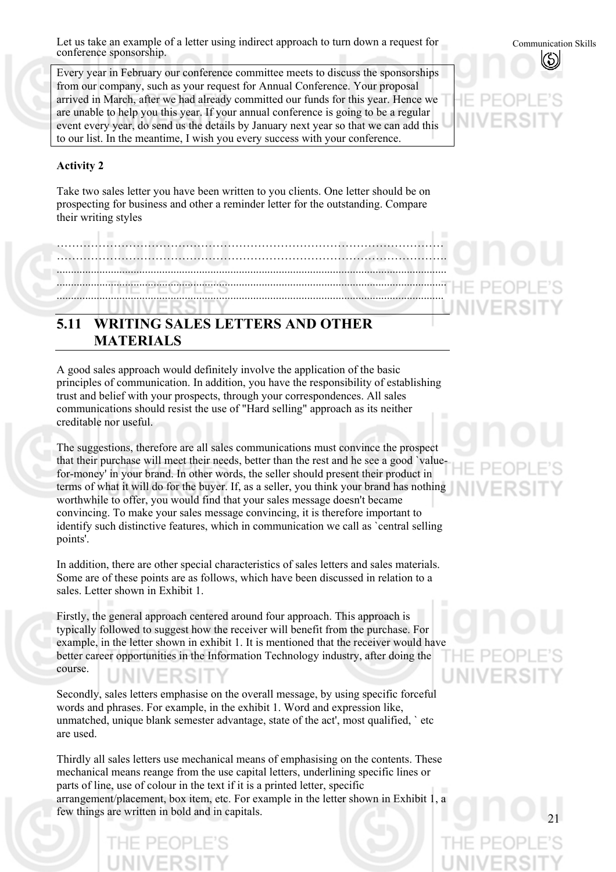Let us take an example of a letter using indirect approach to turn down a request for conference sponsorship.

Every year in February our conference committee meets to discuss the sponsorships from our company, such as your request for Annual Conference. Your proposal arrived in March, after we had already committed our funds for this year. Hence we are unable to help you this year. If your annual conference is going to be a regular event every year, do send us the details by January next year so that we can add this to our list. In the meantime, I wish you every success with your conference.

#### **Activity 2**

Take two sales letter you have been written to you clients. One letter should be on prospecting for business and other a reminder letter for the outstanding. Compare their writing styles

………………………………………………………………………………………… ......................................................................................................................................... ......................................................................................................................................... ........................................................................................................................................

### **5.11 WRITING SALES LETTERS AND OTHER MATERIALS**

A good sales approach would definitely involve the application of the basic principles of communication. In addition, you have the responsibility of establishing trust and belief with your prospects, through your correspondences. All sales communications should resist the use of "Hard selling" approach as its neither creditable nor useful.

The suggestions, therefore are all sales communications must convince the prospect that their purchase will meet their needs, better than the rest and he see a good `valuefor-money' in your brand. In other words, the seller should present their product in terms of what it will do for the buyer. If, as a seller, you think your brand has nothing worthwhile to offer, you would find that your sales message doesn't became convincing. To make your sales message convincing, it is therefore important to identify such distinctive features, which in communication we call as `central selling points'.

In addition, there are other special characteristics of sales letters and sales materials. Some are of these points are as follows, which have been discussed in relation to a sales. Letter shown in Exhibit 1.

Firstly, the general approach centered around four approach. This approach is typically followed to suggest how the receiver will benefit from the purchase. For example, in the letter shown in exhibit 1. It is mentioned that the receiver would have better career opportunities in the Information Technology industry, after doing the course.

Secondly, sales letters emphasise on the overall message, by using specific forceful words and phrases. For example, in the exhibit 1. Word and expression like, unmatched, unique blank semester advantage, state of the act', most qualified, ` etc are used.

Thirdly all sales letters use mechanical means of emphasising on the contents. These mechanical means reange from the use capital letters, underlining specific lines or parts of line, use of colour in the text if it is a printed letter, specific arrangement/placement, box item, etc. For example in the letter shown in Exhibit 1, a few things are written in bold and in capitals.



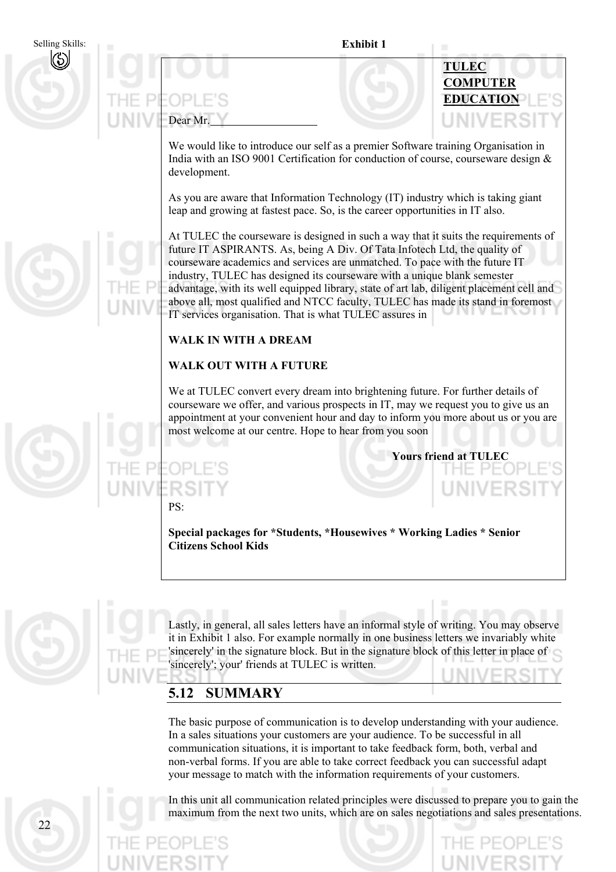**Exhibit 1**  Selling Skills: **TULEC COMPUTER EDUCATION** Dear Mr.

We would like to introduce our self as a premier Software training Organisation in India with an ISO 9001 Certification for conduction of course, courseware design & development.

As you are aware that Information Technology (IT) industry which is taking giant leap and growing at fastest pace. So, is the career opportunities in IT also.

At TULEC the courseware is designed in such a way that it suits the requirements of future IT ASPIRANTS. As, being A Div. Of Tata Infotech Ltd, the quality of courseware academics and services are unmatched. To pace with the future IT industry, TULEC has designed its courseware with a unique blank semester advantage, with its well equipped library, state of art lab, diligent placement cell and above all, most qualified and NTCC faculty, TULEC has made its stand in foremost IT services organisation. That is what TULEC assures in

#### **WALK IN WITH A DREAM**

#### **WALK OUT WITH A FUTURE**

We at TULEC convert every dream into brightening future. For further details of courseware we offer, and various prospects in IT, may we request you to give us an appointment at your convenient hour and day to inform you more about us or you are most welcome at our centre. Hope to hear from you soon

**Yours friend at TULEC** 

PS:

**Special packages for \*Students, \*Housewives \* Working Ladies \* Senior Citizens School Kids** 



Lastly, in general, all sales letters have an informal style of writing. You may observe it in Exhibit 1 also. For example normally in one business letters we invariably white 'sincerely' in the signature block. But in the signature block of this letter in place of 'sincerely'; your' friends at TULEC is written.

#### **5.12 SUMMARY**

The basic purpose of communication is to develop understanding with your audience. In a sales situations your customers are your audience. To be successful in all communication situations, it is important to take feedback form, both, verbal and non-verbal forms. If you are able to take correct feedback you can successful adapt your message to match with the information requirements of your customers.

In this unit all communication related principles were discussed to prepare you to gain the maximum from the next two units, which are on sales negotiations and sales presentations.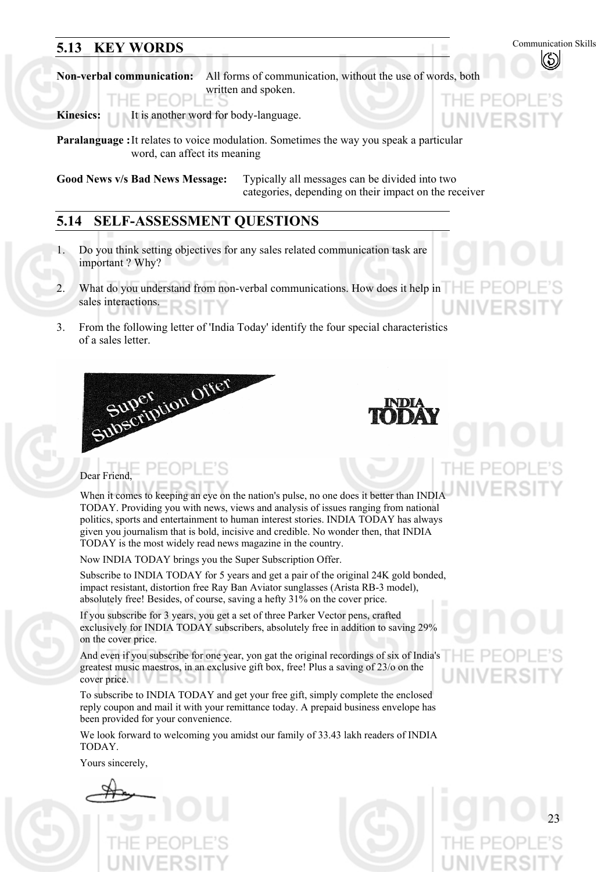## **5.13 KEY WORDS** Communication Skills

JIVER!

**Non-verbal communication:** All forms of communication, without the use of words, both written and spoken.

**Kinesics:** It is another word for body-language.

**Paralanguage :** It relates to voice modulation. Sometimes the way you speak a particular word, can affect its meaning

**Good News v/s Bad News Message:** Typically all messages can be divided into two categories, depending on their impact on the receiver

#### **5.14 SELF-ASSESSMENT QUESTIONS**

- 1. Do you think setting objectives for any sales related communication task are important ? Why?
- 2. What do you understand from non-verbal communications. How does it help in sales interactions.
- 3. From the following letter of 'India Today' identify the four special characteristics of a sales letter.



# Dear Friend,

When it comes to keeping an eye on the nation's pulse, no one does it better than INDIA TODAY. Providing you with news, views and analysis of issues ranging from national politics, sports and entertainment to human interest stories. INDIA TODAY has always given you journalism that is bold, incisive and credible. No wonder then, that INDIA TODAY is the most widely read news magazine in the country.

Now INDIA TODAY brings you the Super Subscription Offer.

Subscribe to INDIA TODAY for 5 years and get a pair of the original 24K gold bonded, impact resistant, distortion free Ray Ban Aviator sunglasses (Arista RB-3 model), absolutely free! Besides, of course, saving a hefty 31% on the cover price.

If you subscribe for 3 years, you get a set of three Parker Vector pens, crafted exclusively for INDIA TODAY subscribers, absolutely free in addition to saving 29% on the cover price.

And even if you subscribe for one year, yon gat the original recordings of six of India's greatest music maestros, in an exclusive gift box, free! Plus a saving of 23/o on the cover price.

To subscribe to INDIA TODAY and get your free gift, simply complete the enclosed reply coupon and mail it with your remittance today. A prepaid business envelope has been provided for your convenience.

We look forward to welcoming you amidst our family of 33.43 lakh readers of INDIA TODAY.

Yours sincerely,